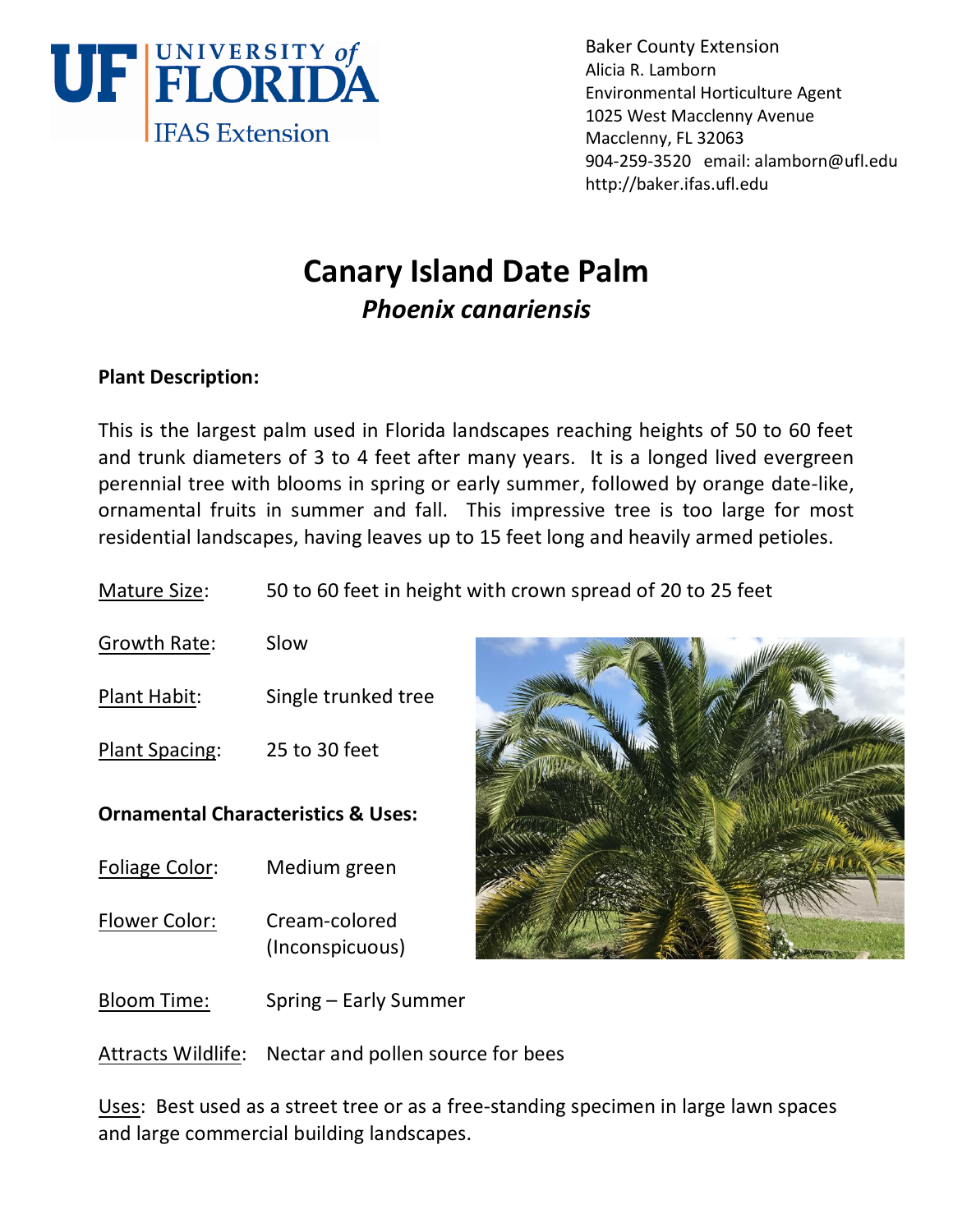

Baker County Extension Alicia R. Lamborn Environmental Horticulture Agent 1025 West Macclenny Avenue Macclenny, FL 32063 904-259-3520 email: alamborn@ufl.edu http://baker.ifas.ufl.edu

# **Canary Island Date Palm** *Phoenix canariensis*

## **Plant Description:**

This is the largest palm used in Florida landscapes reaching heights of 50 to 60 feet and trunk diameters of 3 to 4 feet after many years. It is a longed lived evergreen perennial tree with blooms in spring or early summer, followed by orange date-like, ornamental fruits in summer and fall. This impressive tree is too large for most residential landscapes, having leaves up to 15 feet long and heavily armed petioles.

Mature Size: 50 to 60 feet in height with crown spread of 20 to 25 feet

- Growth Rate: Slow
- Plant Habit: Single trunked tree
- Plant Spacing: 25 to 30 feet

### **Ornamental Characteristics & Uses:**

- Foliage Color: Medium green
- Flower Color: Cream-colored (Inconspicuous)



Bloom Time: Spring – Early Summer

Attracts Wildlife: Nectar and pollen source for bees

Uses: Best used as a street tree or as a free-standing specimen in large lawn spaces and large commercial building landscapes.